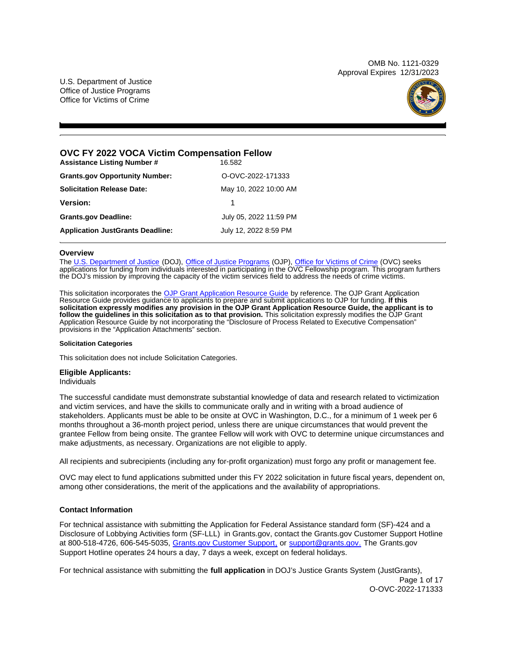OMB No. 1121-0329 Approval Expires 12/31/2023

<span id="page-0-0"></span>U.S. Department of Justice Office of Justice Programs Office for Victims of Crime



# **OVC FY 2022 VOCA Victim Compensation Fellow**

| <b>Assistance Listing Number #</b>      | 16.582                 |  |
|-----------------------------------------|------------------------|--|
| <b>Grants.gov Opportunity Number:</b>   | O-OVC-2022-171333      |  |
| <b>Solicitation Release Date:</b>       | May 10, 2022 10:00 AM  |  |
| <b>Version:</b>                         |                        |  |
| <b>Grants.gov Deadline:</b>             | July 05, 2022 11:59 PM |  |
| <b>Application JustGrants Deadline:</b> | July 12, 2022 8:59 PM  |  |

## **Overview**

The [U.S. Department of Justice](https://www.usdoj.gov/) (DOJ), [Office of Justice Programs](https://www.ojp.gov/) (OJP), [Office for Victims of Crime](http://www.ovc.ojp.gov/) (OVC) seeks applications for funding from individuals interested in participating in the OVC Fellowship program. This program furthers the DOJ's mission by improving the capacity of the victim services field to address the needs of crime victims.

This solicitation incorporates the [OJP Grant Application Resource Guide](https://www.ojp.gov/funding/Apply/Resources/Grant-App-Resource-Guide.htm) by reference. The OJP Grant Application Resource Guide provides guidance to applicants to prepare and submit applications to OJP for funding. **If this solicitation expressly modifies any provision in the OJP Grant Application Resource Guide, the applicant is to follow the guidelines in this solicitation as to that provision.** This solicitation expressly modifies the OJP Grant Application Resource Guide by not incorporating the "Disclosure of Process Related to Executive Compensation" provisions in the "Application Attachments" section.

#### **Solicitation Categories**

This solicitation does not include Solicitation Categories.

## **Eligible Applicants:**

Individuals

The successful candidate must demonstrate substantial knowledge of data and research related to victimization and victim services, and have the skills to communicate orally and in writing with a broad audience of stakeholders. Applicants must be able to be onsite at OVC in Washington, D.C., for a minimum of 1 week per 6 months throughout a 36-month project period, unless there are unique circumstances that would prevent the grantee Fellow from being onsite. The grantee Fellow will work with OVC to determine unique circumstances and make adjustments, as necessary. Organizations are not eligible to apply.

All recipients and subrecipients (including any for-profit organization) must forgo any profit or management fee.

OVC may elect to fund applications submitted under this FY 2022 solicitation in future fiscal years, dependent on, among other considerations, the merit of the applications and the availability of appropriations.

## **Contact Information**

For technical assistance with submitting the Application for Federal Assistance standard form (SF)-424 and a Disclosure of Lobbying Activities form (SF-LLL) in [Grants.gov,](https://Grants.gov) contact the [Grants.gov](https://Grants.gov) Customer Support Hotline at 800-518-4726, 606-545-5035, [Grants.gov Customer Support,](https://www.grants.gov/web/grants/support.html) or [support@grants.gov.](mailto:support@grants.gov) The [Grants.gov](https://Grants.gov) Support Hotline operates 24 hours a day, 7 days a week, except on federal holidays.

For technical assistance with submitting the **full application** in DOJ's Justice Grants System (JustGrants), Page 1 of 17 O-OVC-2022-171333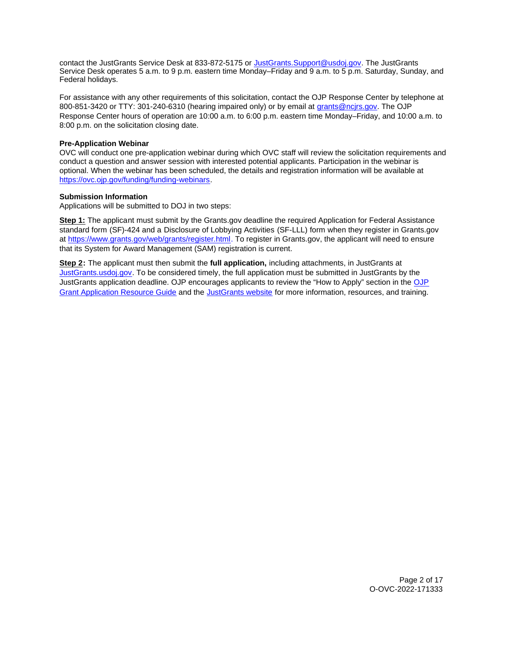contact the JustGrants Service Desk at 833-872-5175 or [JustGrants.Support@usdoj.gov.](mailto:JustGrants.Support@usdoj.gov) The JustGrants Service Desk operates 5 a.m. to 9 p.m. eastern time Monday–Friday and 9 a.m. to 5 p.m. Saturday, Sunday, and Federal holidays.

For assistance with any other requirements of this solicitation, contact the OJP Response Center by telephone at 800-851-3420 or TTY: 301-240-6310 (hearing impaired only) or by email at [grants@ncjrs.gov.](mailto:grants@ncjrs.gov) The OJP Response Center hours of operation are 10:00 a.m. to 6:00 p.m. eastern time Monday–Friday, and 10:00 a.m. to 8:00 p.m. on the solicitation closing date.

# **Pre-Application Webinar**

OVC will conduct one pre-application webinar during which OVC staff will review the solicitation requirements and conduct a question and answer session with interested potential applicants. Participation in the webinar is optional. When the webinar has been scheduled, the details and registration information will be available at [https://ovc.ojp.gov/funding/funding-webinars.](https://ovc.ojp.gov/funding/funding-webinars)

# **Submission Information**

Applications will be submitted to DOJ in two steps:

**Step 1:** The applicant must submit by the [Grants.gov](https://Grants.gov) deadline the required Application for Federal Assistance standard form (SF)-424 and a Disclosure of Lobbying Activities (SF-LLL) form when they register in [Grants.gov](https://Grants.gov) at [https://www.grants.gov/web/grants/register.html.](https://www.grants.gov/web/grants/register.html) To register in [Grants.gov](https://Grants.gov), the applicant will need to ensure that its System for Award Management (SAM) registration is current.

**Step 2:** The applicant must then submit the **full application,** including attachments, in JustGrants at [JustGrants.usdoj.gov.](https://justicegrants.usdoj.gov/) To be considered timely, the full application must be submitted in JustGrants by the JustGrants application deadline. OJP encourages applicants to review the "How to Apply" section in the [OJP](https://www.ojp.gov/funding/apply/ojp-grant-application-resource-guide#apply)  [Grant Application Resource Guide](https://www.ojp.gov/funding/apply/ojp-grant-application-resource-guide#apply) and the [JustGrants website](https://justicegrants.usdoj.gov/news) for more information, resources, and training.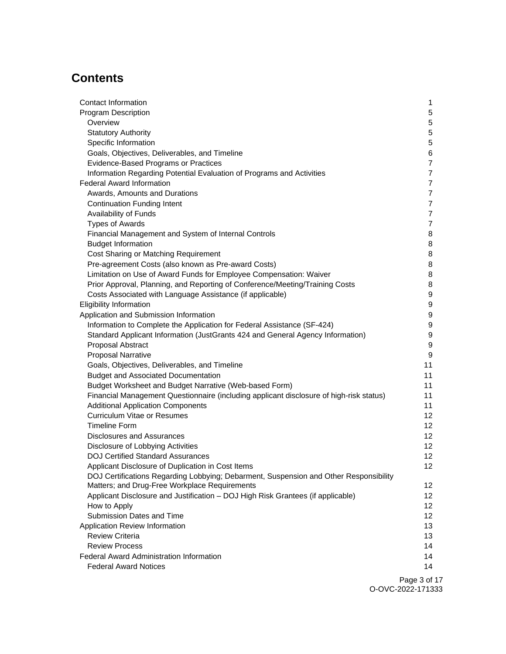# **Contents**

| Contact Information                                                                     | 1                |
|-----------------------------------------------------------------------------------------|------------------|
| <b>Program Description</b>                                                              | 5                |
| Overview                                                                                | 5                |
| <b>Statutory Authority</b>                                                              | 5                |
| Specific Information                                                                    | 5                |
| Goals, Objectives, Deliverables, and Timeline                                           | 6                |
| Evidence-Based Programs or Practices                                                    | $\overline{7}$   |
| Information Regarding Potential Evaluation of Programs and Activities                   | $\overline{7}$   |
| <b>Federal Award Information</b>                                                        | $\overline{7}$   |
| Awards, Amounts and Durations                                                           | $\overline{7}$   |
| <b>Continuation Funding Intent</b>                                                      | $\overline{7}$   |
| Availability of Funds                                                                   | $\overline{7}$   |
| <b>Types of Awards</b>                                                                  | $\overline{7}$   |
| Financial Management and System of Internal Controls                                    | 8                |
| <b>Budget Information</b>                                                               | 8                |
| Cost Sharing or Matching Requirement                                                    | 8                |
| Pre-agreement Costs (also known as Pre-award Costs)                                     | 8                |
| Limitation on Use of Award Funds for Employee Compensation: Waiver                      | 8                |
| Prior Approval, Planning, and Reporting of Conference/Meeting/Training Costs            | 8                |
| Costs Associated with Language Assistance (if applicable)                               | $\boldsymbol{9}$ |
| <b>Eligibility Information</b>                                                          | $\boldsymbol{9}$ |
| Application and Submission Information                                                  | $\boldsymbol{9}$ |
| Information to Complete the Application for Federal Assistance (SF-424)                 | $\boldsymbol{9}$ |
| Standard Applicant Information (JustGrants 424 and General Agency Information)          | $\boldsymbol{9}$ |
| Proposal Abstract                                                                       | 9                |
| <b>Proposal Narrative</b>                                                               | 9                |
| Goals, Objectives, Deliverables, and Timeline                                           | 11               |
| <b>Budget and Associated Documentation</b>                                              | 11               |
| Budget Worksheet and Budget Narrative (Web-based Form)                                  | 11               |
| Financial Management Questionnaire (including applicant disclosure of high-risk status) | 11               |
| <b>Additional Application Components</b>                                                | 11               |
| <b>Curriculum Vitae or Resumes</b>                                                      | 12               |
| <b>Timeline Form</b>                                                                    | 12               |
| <b>Disclosures and Assurances</b>                                                       | 12 <sub>2</sub>  |
| Disclosure of Lobbying Activities                                                       | 12 <sub>2</sub>  |
| <b>DOJ Certified Standard Assurances</b>                                                | 12               |
| Applicant Disclosure of Duplication in Cost Items                                       | 12               |
| DOJ Certifications Regarding Lobbying; Debarment, Suspension and Other Responsibility   |                  |
| Matters; and Drug-Free Workplace Requirements                                           | 12 <sup>°</sup>  |
| Applicant Disclosure and Justification - DOJ High Risk Grantees (if applicable)         | 12 <sup>°</sup>  |
| How to Apply                                                                            | 12 <sup>°</sup>  |
| Submission Dates and Time                                                               | 12 <sup>2</sup>  |
| Application Review Information                                                          | 13               |
| <b>Review Criteria</b>                                                                  | 13               |
| <b>Review Process</b>                                                                   | 14               |
| <b>Federal Award Administration Information</b>                                         | 14               |
| <b>Federal Award Notices</b>                                                            | 14               |
|                                                                                         |                  |

Page 3 of 17 O-OVC-2022-171333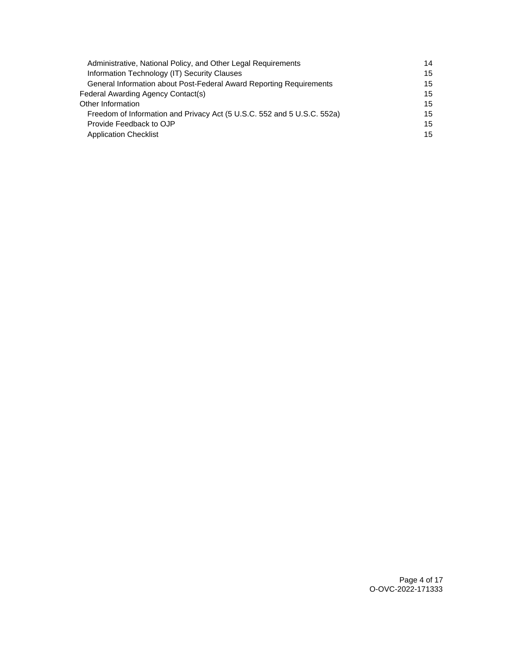| Administrative, National Policy, and Other Legal Requirements           | 14 |
|-------------------------------------------------------------------------|----|
| Information Technology (IT) Security Clauses                            | 15 |
| General Information about Post-Federal Award Reporting Requirements     | 15 |
| Federal Awarding Agency Contact(s)                                      | 15 |
| Other Information                                                       | 15 |
| Freedom of Information and Privacy Act (5 U.S.C. 552 and 5 U.S.C. 552a) | 15 |
| Provide Feedback to OJP                                                 | 15 |
| <b>Application Checklist</b>                                            | 15 |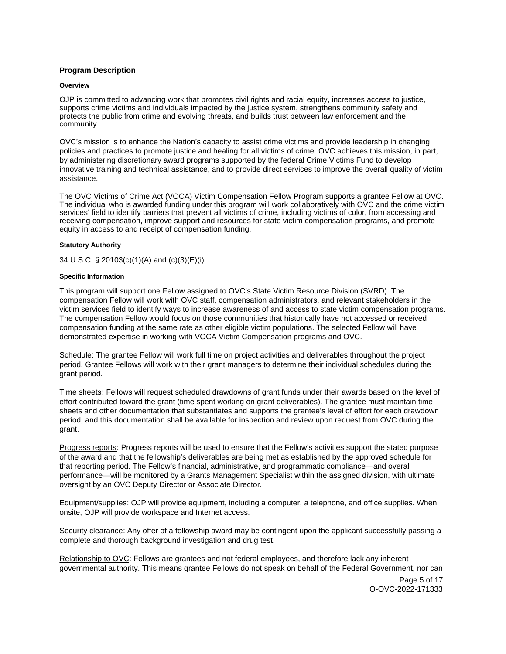# <span id="page-4-0"></span>**Program Description**

## **Overview**

OJP is committed to advancing work that promotes civil rights and racial equity, increases access to justice, supports crime victims and individuals impacted by the justice system, strengthens community safety and protects the public from crime and evolving threats, and builds trust between law enforcement and the community.

OVC's mission is to enhance the Nation's capacity to assist crime victims and provide leadership in changing policies and practices to promote justice and healing for all victims of crime. OVC achieves this mission, in part, by administering discretionary award programs supported by the federal Crime Victims Fund to develop innovative training and technical assistance, and to provide direct services to improve the overall quality of victim assistance.

The OVC Victims of Crime Act (VOCA) Victim Compensation Fellow Program supports a grantee Fellow at OVC. The individual who is awarded funding under this program will work collaboratively with OVC and the crime victim services' field to identify barriers that prevent all victims of crime, including victims of color, from accessing and receiving compensation, improve support and resources for state victim compensation programs, and promote equity in access to and receipt of compensation funding.

# **Statutory Authority**

34 U.S.C. § 20103(c)(1)(A) and (c)(3)(E)(i)

## **Specific Information**

This program will support one Fellow assigned to OVC's State Victim Resource Division (SVRD). The compensation Fellow will work with OVC staff, compensation administrators, and relevant stakeholders in the victim services field to identify ways to increase awareness of and access to state victim compensation programs. The compensation Fellow would focus on those communities that historically have not accessed or received compensation funding at the same rate as other eligible victim populations. The selected Fellow will have demonstrated expertise in working with VOCA Victim Compensation programs and OVC.

Schedule: The grantee Fellow will work full time on project activities and deliverables throughout the project period. Grantee Fellows will work with their grant managers to determine their individual schedules during the grant period.

Time sheets: Fellows will request scheduled drawdowns of grant funds under their awards based on the level of effort contributed toward the grant (time spent working on grant deliverables). The grantee must maintain time sheets and other documentation that substantiates and supports the grantee's level of effort for each drawdown period, and this documentation shall be available for inspection and review upon request from OVC during the grant.

Progress reports: Progress reports will be used to ensure that the Fellow's activities support the stated purpose of the award and that the fellowship's deliverables are being met as established by the approved schedule for that reporting period. The Fellow's financial, administrative, and programmatic compliance—and overall performance—will be monitored by a Grants Management Specialist within the assigned division, with ultimate oversight by an OVC Deputy Director or Associate Director.

Equipment/supplies: OJP will provide equipment, including a computer, a telephone, and office supplies. When onsite, OJP will provide workspace and Internet access.

Security clearance: Any offer of a fellowship award may be contingent upon the applicant successfully passing a complete and thorough background investigation and drug test.

Relationship to OVC: Fellows are grantees and not federal employees, and therefore lack any inherent governmental authority. This means grantee Fellows do not speak on behalf of the Federal Government, nor can

> Page 5 of 17 O-OVC-2022-171333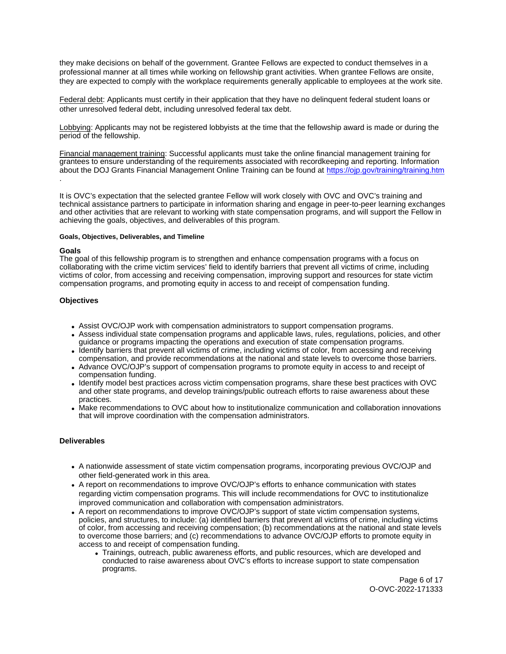<span id="page-5-0"></span>they make decisions on behalf of the government. Grantee Fellows are expected to conduct themselves in a professional manner at all times while working on fellowship grant activities. When grantee Fellows are onsite, they are expected to comply with the workplace requirements generally applicable to employees at the work site.

Federal debt: Applicants must certify in their application that they have no delinquent federal student loans or other unresolved federal debt, including unresolved federal tax debt.

Lobbying: Applicants may not be registered lobbyists at the time that the fellowship award is made or during the period of the fellowship.

Financial management training: Successful applicants must take the online financial management training for grantees to ensure understanding of the requirements associated with recordkeeping and reporting. Information about the DOJ Grants Financial Management Online Training can be found at <https://ojp.gov/training/training.htm> .

It is OVC's expectation that the selected grantee Fellow will work closely with OVC and OVC's training and technical assistance partners to participate in information sharing and engage in peer-to-peer learning exchanges and other activities that are relevant to working with state compensation programs, and will support the Fellow in achieving the goals, objectives, and deliverables of this program.

## **Goals, Objectives, Deliverables, and Timeline**

## **Goals**

The goal of this fellowship program is to strengthen and enhance compensation programs with a focus on collaborating with the crime victim services' field to identify barriers that prevent all victims of crime, including victims of color, from accessing and receiving compensation, improving support and resources for state victim compensation programs, and promoting equity in access to and receipt of compensation funding.

## **Objectives**

- Assist OVC/OJP work with compensation administrators to support compensation programs.
- Assess individual state compensation programs and applicable laws, rules, regulations, policies, and other guidance or programs impacting the operations and execution of state compensation programs.
- Identify barriers that prevent all victims of crime, including victims of color, from accessing and receiving compensation, and provide recommendations at the national and state levels to overcome those barriers.
- Advance OVC/OJP's support of compensation programs to promote equity in access to and receipt of compensation funding.
- Identify model best practices across victim compensation programs, share these best practices with OVC and other state programs, and develop trainings/public outreach efforts to raise awareness about these practices.
- Make recommendations to OVC about how to institutionalize communication and collaboration innovations that will improve coordination with the compensation administrators.

# **Deliverables**

- A nationwide assessment of state victim compensation programs, incorporating previous OVC/OJP and other field-generated work in this area.
- A report on recommendations to improve OVC/OJP's efforts to enhance communication with states regarding victim compensation programs. This will include recommendations for OVC to institutionalize improved communication and collaboration with compensation administrators.
- A report on recommendations to improve OVC/OJP's support of state victim compensation systems, policies, and structures, to include: (a) identified barriers that prevent all victims of crime, including victims of color, from accessing and receiving compensation; (b) recommendations at the national and state levels to overcome those barriers; and (c) recommendations to advance OVC/OJP efforts to promote equity in access to and receipt of compensation funding.
	- Trainings, outreach, public awareness efforts, and public resources, which are developed and conducted to raise awareness about OVC's efforts to increase support to state compensation programs.

Page 6 of 17 O-OVC-2022-171333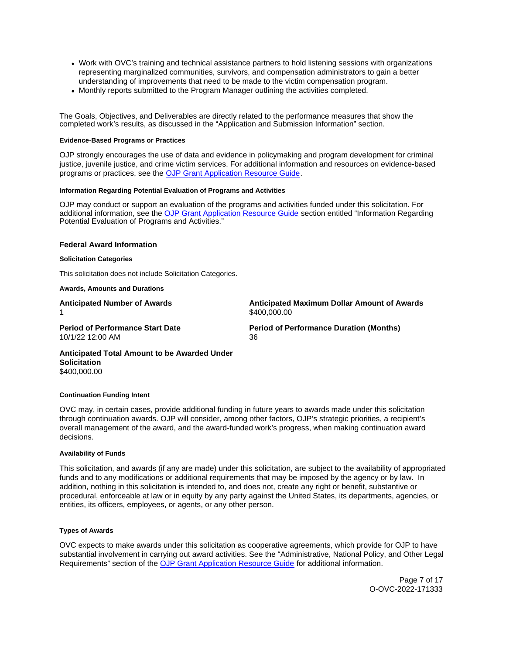- <span id="page-6-0"></span>Work with OVC's training and technical assistance partners to hold listening sessions with organizations representing marginalized communities, survivors, and compensation administrators to gain a better understanding of improvements that need to be made to the victim compensation program.
- Monthly reports submitted to the Program Manager outlining the activities completed.

The Goals, Objectives, and Deliverables are directly related to the performance measures that show the completed work's results, as discussed in the "Application and Submission Information" section.

## **Evidence-Based Programs or Practices**

OJP strongly encourages the use of data and evidence in policymaking and program development for criminal justice, juvenile justice, and crime victim services. For additional information and resources on evidence-based programs or practices, see the [OJP Grant Application Resource Guide.](https://www.ojp.gov/funding/apply/ojp-grant-application-resource-guide#evidence-based)

## **Information Regarding Potential Evaluation of Programs and Activities**

OJP may conduct or support an evaluation of the programs and activities funded under this solicitation. For additional information, see the [OJP Grant Application Resource Guide](https://www.ojp.gov/funding/apply/ojp-grant-application-resource-guide#potential-evaluation) section entitled "Information Regarding Potential Evaluation of Programs and Activities."

## **Federal Award Information**

#### **Solicitation Categories**

This solicitation does not include Solicitation Categories.

#### **Awards, Amounts and Durations**

**Anticipated Number of Awards Anticipated Maximum Dollar Amount of Awards**  \$400,000.00

10/1/22 12:00 AM 36

**Period of Performance Start Date Period of Performance Duration (Months)** 

**Anticipated Total Amount to be Awarded Under Solicitation**  [\\$400,000.00](https://400,000.00) 

#### **Continuation Funding Intent**

OVC may, in certain cases, provide additional funding in future years to awards made under this solicitation through continuation awards. OJP will consider, among other factors, OJP's strategic priorities, a recipient's overall management of the award, and the award-funded work's progress, when making continuation award decisions.

#### **Availability of Funds**

This solicitation, and awards (if any are made) under this solicitation, are subject to the availability of appropriated funds and to any modifications or additional requirements that may be imposed by the agency or by law. In addition, nothing in this solicitation is intended to, and does not, create any right or benefit, substantive or procedural, enforceable at law or in equity by any party against the United States, its departments, agencies, or entities, its officers, employees, or agents, or any other person.

## **Types of Awards**

OVC expects to make awards under this solicitation as cooperative agreements, which provide for OJP to have substantial involvement in carrying out award activities. See the "Administrative, National Policy, and Other Legal Requirements" section of the [OJP Grant Application Resource Guide](https://www.ojp.gov/funding/apply/ojp-grant-application-resource-guide#administrative) for additional information.

> Page 7 of 17 O-OVC-2022-171333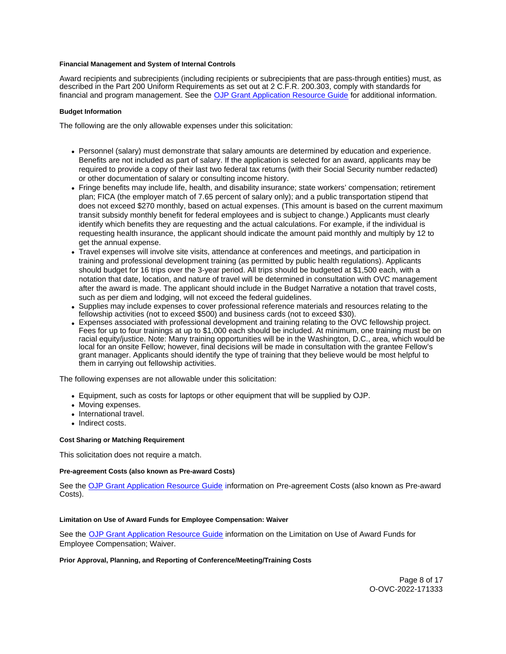## <span id="page-7-0"></span>**Financial Management and System of Internal Controls**

Award recipients and subrecipients (including recipients or subrecipients that are pass-through entities) must, as described in the Part 200 Uniform Requirements as set out at 2 C.F.R. 200.303, comply with standards for financial and program management. See the [OJP Grant Application Resource Guide](https://www.ojp.gov/funding/apply/ojp-grant-application-resource-guide#fm-internal-controls) for additional information.

## **Budget Information**

The following are the only allowable expenses under this solicitation:

- Personnel (salary) must demonstrate that salary amounts are determined by education and experience. Benefits are not included as part of salary. If the application is selected for an award, applicants may be required to provide a copy of their last two federal tax returns (with their Social Security number redacted) or other documentation of salary or consulting income history.
- Fringe benefits may include life, health, and disability insurance; state workers' compensation; retirement plan; FICA (the employer match of 7.65 percent of salary only); and a public transportation stipend that does not exceed \$270 monthly, based on actual expenses. (This amount is based on the current maximum transit subsidy monthly benefit for federal employees and is subject to change.) Applicants must clearly identify which benefits they are requesting and the actual calculations. For example, if the individual is requesting health insurance, the applicant should indicate the amount paid monthly and multiply by 12 to get the annual expense.
- Travel expenses will involve site visits, attendance at conferences and meetings, and participation in training and professional development training (as permitted by public health regulations). Applicants should budget for 16 trips over the 3-year period. All trips should be budgeted at \$1,500 each, with a notation that date, location, and nature of travel will be determined in consultation with OVC management after the award is made. The applicant should include in the Budget Narrative a notation that travel costs, such as per diem and lodging, will not exceed the federal guidelines.
- Supplies may include expenses to cover professional reference materials and resources relating to the fellowship activities (not to exceed \$500) and business cards (not to exceed \$30).
- Expenses associated with professional development and training relating to the OVC fellowship project. Fees for up to four trainings at up to \$1,000 each should be included. At minimum, one training must be on racial equity/justice. Note: Many training opportunities will be in the Washington, D.C., area, which would be local for an onsite Fellow; however, final decisions will be made in consultation with the grantee Fellow's grant manager. Applicants should identify the type of training that they believe would be most helpful to them in carrying out fellowship activities.

The following expenses are not allowable under this solicitation:

- Equipment, such as costs for laptops or other equipment that will be supplied by OJP.
- Moving expenses.
- International travel.
- Indirect costs.

# **Cost Sharing or Matching Requirement**

This solicitation does not require a match.

## **Pre-agreement Costs (also known as Pre-award Costs)**

See the [OJP Grant Application Resource Guide](https://www.ojp.gov/funding/apply/ojp-grant-application-resource-guide#pre-agreement-costs) information on Pre-agreement Costs (also known as Pre-award Costs).

## **Limitation on Use of Award Funds for Employee Compensation: Waiver**

See the [OJP Grant Application Resource Guide](https://www.ojp.gov/funding/apply/ojp-grant-application-resource-guide#limitation-use-award) information on the Limitation on Use of Award Funds for Employee Compensation; Waiver.

## **Prior Approval, Planning, and Reporting of Conference/Meeting/Training Costs**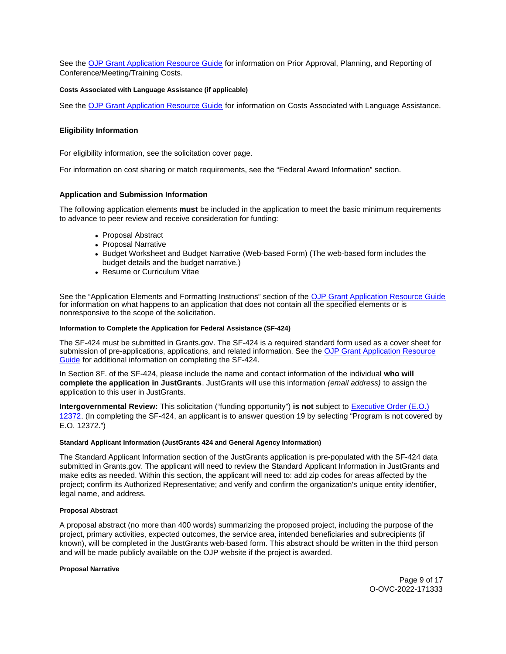<span id="page-8-0"></span>See the [OJP Grant Application Resource Guide](https://www.ojp.gov/funding/apply/ojp-grant-application-resource-guide#prior-approval) for information on Prior Approval, Planning, and Reporting of Conference/Meeting/Training Costs.

## **Costs Associated with Language Assistance (if applicable)**

See the [OJP Grant Application Resource Guide](https://www.ojp.gov/funding/apply/ojp-grant-application-resource-guide#costs-associated) for information on Costs Associated with Language Assistance.

## **Eligibility Information**

For eligibility information, see the solicitation cover page.

For information on cost sharing or match requirements, see the "Federal Award Information" section.

## **Application and Submission Information**

The following application elements **must** be included in the application to meet the basic minimum requirements to advance to peer review and receive consideration for funding:

- Proposal Abstract
- Proposal Narrative
- Budget Worksheet and Budget Narrative (Web-based Form) (The web-based form includes the budget details and the budget narrative.)
- Resume or Curriculum Vitae

See the "Application Elements and Formatting Instructions" section of the [OJP Grant Application Resource Guide](https://www.ojp.gov/funding/apply/ojp-grant-application-resource-guide#application-elements)  for information on what happens to an application that does not contain all the specified elements or is nonresponsive to the scope of the solicitation.

## **Information to Complete the Application for Federal Assistance (SF-424)**

The SF-424 must be submitted in [Grants.gov](https://Grants.gov). The SF-424 is a required standard form used as a cover sheet for submission of pre-applications, applications, and related information. See the [OJP Grant Application Resource](https://www.ojp.gov/funding/apply/ojp-grant-application-resource-guide#complete-application)  [Guide](https://www.ojp.gov/funding/apply/ojp-grant-application-resource-guide#complete-application) for additional information on completing the SF-424.

In Section 8F. of the SF-424, please include the name and contact information of the individual **who will complete the application in JustGrants**. JustGrants will use this information (email address) to assign the application to this user in JustGrants.

**Intergovernmental Review:** This solicitation ("funding opportunity") **is not** subject to [Executive Order \(E.O.\)](https://www.archives.gov/federal-register/codification/executive-order/12372.html)  [12372.](https://www.archives.gov/federal-register/codification/executive-order/12372.html) (In completing the SF-424, an applicant is to answer question 19 by selecting "Program is not covered by E.O. 12372.")

## **Standard Applicant Information (JustGrants 424 and General Agency Information)**

The Standard Applicant Information section of the JustGrants application is pre-populated with the SF-424 data submitted in [Grants.gov.](https://Grants.gov) The applicant will need to review the Standard Applicant Information in JustGrants and make edits as needed. Within this section, the applicant will need to: add zip codes for areas affected by the project; confirm its Authorized Representative; and verify and confirm the organization's unique entity identifier, legal name, and address.

## **Proposal Abstract**

A proposal abstract (no more than 400 words) summarizing the proposed project, including the purpose of the project, primary activities, expected outcomes, the service area, intended beneficiaries and subrecipients (if known), will be completed in the JustGrants web-based form. This abstract should be written in the third person and will be made publicly available on the OJP website if the project is awarded.

## **Proposal Narrative**

Page 9 of 17 O-OVC-2022-171333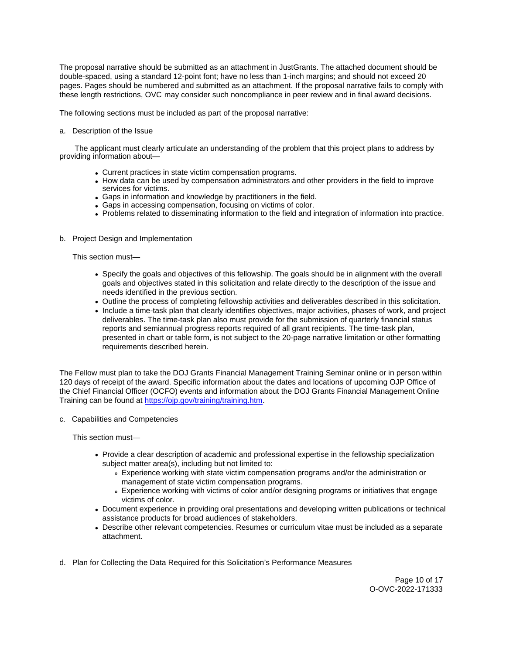The proposal narrative should be submitted as an attachment in JustGrants. The attached document should be double-spaced, using a standard 12-point font; have no less than 1-inch margins; and should not exceed 20 pages. Pages should be numbered and submitted as an attachment. If the proposal narrative fails to comply with these length restrictions, OVC may consider such noncompliance in peer review and in final award decisions.

The following sections must be included as part of the proposal narrative:

a. Description of the Issue

 The applicant must clearly articulate an understanding of the problem that this project plans to address by providing information about—

- Current practices in state victim compensation programs.
- How data can be used by compensation administrators and other providers in the field to improve services for victims.
- Gaps in information and knowledge by practitioners in the field.
- Gaps in accessing compensation, focusing on victims of color.
- Problems related to disseminating information to the field and integration of information into practice.
- b. Project Design and Implementation

This section must—

- Specify the goals and objectives of this fellowship. The goals should be in alignment with the overall goals and objectives stated in this solicitation and relate directly to the description of the issue and needs identified in the previous section.
- Outline the process of completing fellowship activities and deliverables described in this solicitation.
- Include a time-task plan that clearly identifies objectives, major activities, phases of work, and project deliverables. The time-task plan also must provide for the submission of quarterly financial status reports and semiannual progress reports required of all grant recipients. The time-task plan, presented in chart or table form, is not subject to the 20-page narrative limitation or other formatting requirements described herein.

The Fellow must plan to take the DOJ Grants Financial Management Training Seminar online or in person within 120 days of receipt of the award. Specific information about the dates and locations of upcoming OJP Office of the Chief Financial Officer (OCFO) events and information about the DOJ Grants Financial Management Online Training can be found at [https://ojp.gov/training/training.htm.](https://ojp.gov/training/training.htm)

c. Capabilities and Competencies

This section must—

- Provide a clear description of academic and professional expertise in the fellowship specialization subject matter area(s), including but not limited to:
	- Experience working with state victim compensation programs and/or the administration or management of state victim compensation programs.
	- Experience working with victims of color and/or designing programs or initiatives that engage victims of color.
- Document experience in providing oral presentations and developing written publications or technical assistance products for broad audiences of stakeholders.
- Describe other relevant competencies. Resumes or curriculum vitae must be included as a separate attachment.
- d. Plan for Collecting the Data Required for this Solicitation's Performance Measures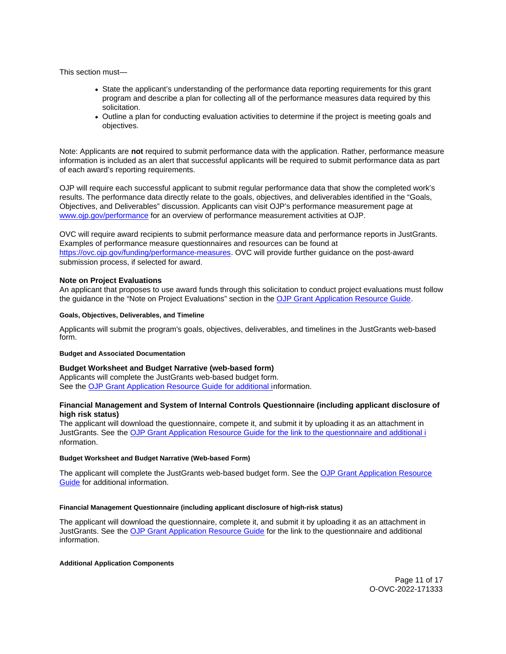<span id="page-10-0"></span>This section must—

- State the applicant's understanding of the performance data reporting requirements for this grant program and describe a plan for collecting all of the performance measures data required by this solicitation.
- Outline a plan for conducting evaluation activities to determine if the project is meeting goals and objectives.

Note: Applicants are **not** required to submit performance data with the application. Rather, performance measure information is included as an alert that successful applicants will be required to submit performance data as part of each award's reporting requirements.

OJP will require each successful applicant to submit regular performance data that show the completed work's results. The performance data directly relate to the goals, objectives, and deliverables identified in the "Goals, Objectives, and Deliverables" discussion. Applicants can visit OJP's performance measurement page at [www.ojp.gov/performance](https://www.ojp.gov/performance) for an overview of performance measurement activities at OJP.

OVC will require award recipients to submit performance measure data and performance reports in JustGrants. Examples of performance measure questionnaires and resources can be found at [https://ovc.ojp.gov/funding/performance-measures.](https://ovc.ojp.gov/funding/performance-measures) OVC will provide further guidance on the post-award submission process, if selected for award.

## **Note on Project Evaluations**

An applicant that proposes to use award funds through this solicitation to conduct project evaluations must follow the guidance in the "Note on Project Evaluations" section in the [OJP Grant Application Resource Guide.](https://www.ojp.gov/funding/apply/ojp-grant-application-resource-guide#project-evaluations)

## **Goals, Objectives, Deliverables, and Timeline**

Applicants will submit the program's goals, objectives, deliverables, and timelines in the JustGrants web-based form.

## **Budget and Associated Documentation**

## **Budget Worksheet and Budget Narrative (web-based form)**

Applicants will complete the JustGrants web-based budget form. See the [OJP Grant Application Resource Guide](https://ojp.gov/funding/Apply/Resources/Grant-App-Resource-Guide.htm) for additional information.

## **Financial Management and System of Internal Controls Questionnaire (including applicant disclosure of high risk status)**

The applicant will download the questionnaire, compete it, and submit it by uploading it as an attachment in JustGrants. See the [OJP Grant Application Resource Guide](https://ojp.gov/funding/Apply/Resources/Grant-App-Resource-Guide.htm) for the link to the questionnaire and additional i nformation.

## **Budget Worksheet and Budget Narrative (Web-based Form)**

The applicant will complete the JustGrants web-based budget form. See the [OJP Grant Application Resource](https://www.ojp.gov/funding/apply/ojp-grant-application-resource-guide#budget-prep)  [Guide](https://www.ojp.gov/funding/apply/ojp-grant-application-resource-guide#budget-prep) for additional information.

## **Financial Management Questionnaire (including applicant disclosure of high-risk status)**

The applicant will download the questionnaire, complete it, and submit it by uploading it as an attachment in JustGrants. See the [OJP Grant Application Resource Guide](https://www.ojp.gov/funding/apply/ojp-grant-application-resource-guide#fm-internal-controls-questionnaire) for the link to the questionnaire and additional information.

## **Additional Application Components**

Page 11 of 17 O-OVC-2022-171333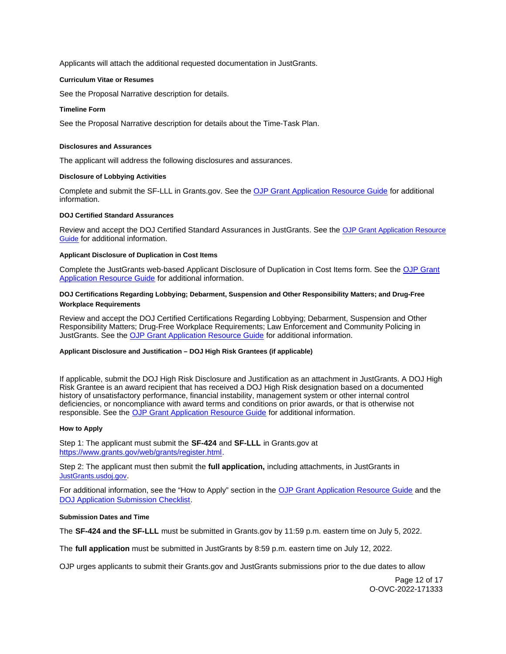<span id="page-11-0"></span>Applicants will attach the additional requested documentation in JustGrants.

## **Curriculum Vitae or Resumes**

See the Proposal Narrative description for details.

## **Timeline Form**

See the Proposal Narrative description for details about the Time-Task Plan.

## **Disclosures and Assurances**

The applicant will address the following disclosures and assurances.

## **Disclosure of Lobbying Activities**

Complete and submit the SF-LLL in [Grants.gov.](https://Grants.gov) See the [OJP Grant Application Resource Guide](https://www.ojp.gov/funding/apply/ojp-grant-application-resource-guide#disclosure-lobby) for additional information.

## **DOJ Certified Standard Assurances**

Review and accept the DOJ Certified Standard Assurances in JustGrants. See the [OJP Grant Application Resource](https://www.ojp.gov/funding/apply/ojp-grant-application-resource-guide#administrative)  [Guide](https://www.ojp.gov/funding/apply/ojp-grant-application-resource-guide#administrative) for additional information.

## **Applicant Disclosure of Duplication in Cost Items**

Complete the JustGrants web-based Applicant Disclosure of Duplication in Cost Items form. See the [OJP Grant](https://www.ojp.gov/funding/apply/ojp-grant-application-resource-guide#applicant-disclosure-pending-applications)  [Application Resource Guide](https://www.ojp.gov/funding/apply/ojp-grant-application-resource-guide#applicant-disclosure-pending-applications) for additional information.

## **DOJ Certifications Regarding Lobbying; Debarment, Suspension and Other Responsibility Matters; and Drug-Free Workplace Requirements**

Review and accept the DOJ Certified Certifications Regarding Lobbying; Debarment, Suspension and Other Responsibility Matters; Drug-Free Workplace Requirements; Law Enforcement and Community Policing in JustGrants. See the [OJP Grant Application Resource Guide](https://www.ojp.gov/funding/apply/ojp-grant-application-resource-guide#administrative) for additional information.

## **Applicant Disclosure and Justification – DOJ High Risk Grantees (if applicable)**

If applicable, submit the DOJ High Risk Disclosure and Justification as an attachment in JustGrants. A DOJ High Risk Grantee is an award recipient that has received a DOJ High Risk designation based on a documented history of unsatisfactory performance, financial instability, management system or other internal control deficiencies, or noncompliance with award terms and conditions on prior awards, or that is otherwise not responsible. See the [OJP Grant Application Resource Guide](https://www.ojp.gov/funding/apply/ojp-grant-application-resource-guide) for additional information.

## **How to Apply**

Step 1: The applicant must submit the **SF-424** and **SF-LLL** in [Grants.gov](https://Grants.gov) at [https://www.grants.gov/web/grants/register.html.](https://www.grants.gov/web/grants/register.html)

Step 2: The applicant must then submit the **full application,** including attachments, in JustGrants in [JustGrants.usdoj.gov.](https://justicegrants.usdoj.gov/)

For additional information, see the "How to Apply" section in the [OJP Grant Application Resource Guide](https://www.ojp.gov/funding/apply/ojp-grant-application-resource-guide#apply) and the [DOJ Application Submission Checklist.](https://justicegrants.usdoj.gov/sites/g/files/xyckuh296/files/media/document/appln-submission-checklist.pdf)

## **Submission Dates and Time**

The **SF-424 and the SF-LLL** must be submitted in [Grants.gov](https://Grants.gov) by 11:59 p.m. eastern time on July 5, 2022.

The **full application** must be submitted in JustGrants by 8:59 p.m. eastern time on July 12, 2022.

OJP urges applicants to submit their [Grants.gov](https://Grants.gov) and JustGrants submissions prior to the due dates to allow

Page 12 of 17 O-OVC-2022-171333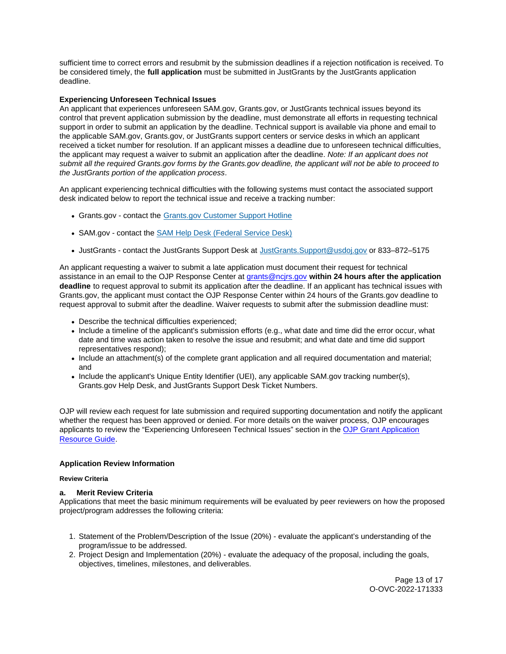<span id="page-12-0"></span>sufficient time to correct errors and resubmit by the submission deadlines if a rejection notification is received. To be considered timely, the **full application** must be submitted in JustGrants by the JustGrants application deadline.

# **Experiencing Unforeseen Technical Issues**

An applicant that experiences unforeseen SAM.gov, [Grants.gov,](https://Grants.gov) or JustGrants technical issues beyond its control that prevent application submission by the deadline, must demonstrate all efforts in requesting technical support in order to submit an application by the deadline. Technical support is available via phone and email to the applicable SAM.gov, [Grants.gov,](https://Grants.gov) or JustGrants support centers or service desks in which an applicant received a ticket number for resolution. If an applicant misses a deadline due to unforeseen technical difficulties, the applicant may request a waiver to submit an application after the deadline. Note: If an applicant does not submit all the required [Grants.gov](https://Grants.gov) forms by the [Grants.gov](https://Grants.gov) deadline, the applicant will not be able to proceed to the JustGrants portion of the application process.

An applicant experiencing technical difficulties with the following systems must contact the associated support desk indicated below to report the technical issue and receive a tracking number:

- [Grants.gov](https://Grants.gov)  contact the [Grants.gov Customer Support Hotline](https://www.grants.gov/web/grants/support.html)
- SAM.gov contact the [SAM Help Desk \(Federal Service Desk\)](https://www.fsd.gov/gsafsd_sp)
- JustGrants contact the JustGrants Support Desk at [JustGrants.Support@usdoj.gov](mailto:JustGrants.Support@usdoj.gov) or 833–872–5175

An applicant requesting a waiver to submit a late application must document their request for technical assistance in an email to the OJP Response Center at [grants@ncjrs.gov](mailto:grants@ncjrs.gov) **within 24 hours after the application deadline** to request approval to submit its application after the deadline. If an applicant has technical issues with [Grants.gov,](https://Grants.gov) the applicant must contact the OJP Response Center within 24 hours of the [Grants.gov](https://Grants.gov) deadline to request approval to submit after the deadline. Waiver requests to submit after the submission deadline must:

- Describe the technical difficulties experienced;
- Include a timeline of the applicant's submission efforts (e.g., what date and time did the error occur, what date and time was action taken to resolve the issue and resubmit; and what date and time did support representatives respond);
- Include an attachment(s) of the complete grant application and all required documentation and material; and
- Include the applicant's Unique Entity Identifier (UEI), any applicable SAM.gov tracking number(s), [Grants.gov](https://Grants.gov) Help Desk, and JustGrants Support Desk Ticket Numbers.

OJP will review each request for late submission and required supporting documentation and notify the applicant whether the request has been approved or denied. For more details on the waiver process, OJP encourages applicants to review the "Experiencing Unforeseen Technical Issues" section in the [OJP Grant Application](https://www.ojp.gov/funding/apply/ojp-grant-application-resource-guide#experiencing-unforeseen-technical-issues)  [Resource Guide.](https://www.ojp.gov/funding/apply/ojp-grant-application-resource-guide#experiencing-unforeseen-technical-issues)

# **Application Review Information**

# **Review Criteria**

# **a. Merit Review Criteria**

Applications that meet the basic minimum requirements will be evaluated by peer reviewers on how the proposed project/program addresses the following criteria:

- 1. Statement of the Problem/Description of the Issue (20%) evaluate the applicant's understanding of the program/issue to be addressed.
- 2. Project Design and Implementation (20%) evaluate the adequacy of the proposal, including the goals, objectives, timelines, milestones, and deliverables.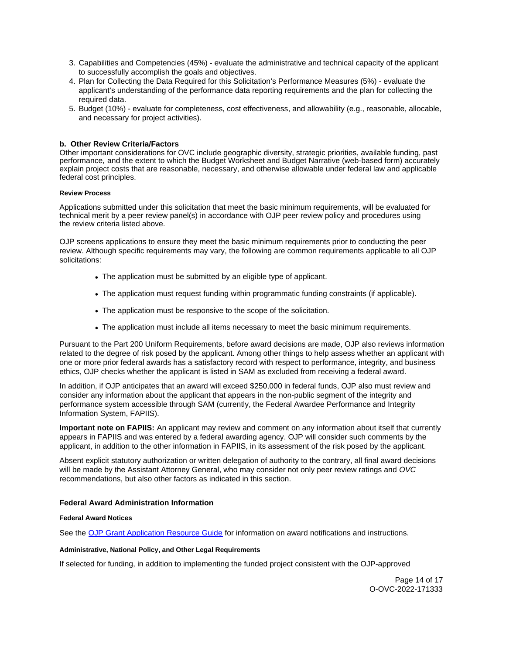- <span id="page-13-0"></span>3. Capabilities and Competencies (45%) - evaluate the administrative and technical capacity of the applicant to successfully accomplish the goals and objectives.
- 4. Plan for Collecting the Data Required for this Solicitation's Performance Measures (5%) evaluate the applicant's understanding of the performance data reporting requirements and the plan for collecting the required data.
- 5. Budget (10%) evaluate for completeness, cost effectiveness, and allowability (e.g., reasonable, allocable, and necessary for project activities).

# **b. Other Review Criteria/Factors**

Other important considerations for OVC include geographic diversity, strategic priorities, available funding, past performance, and the extent to which the Budget Worksheet and Budget Narrative (web-based form) accurately explain project costs that are reasonable, necessary, and otherwise allowable under federal law and applicable federal cost principles.

## **Review Process**

Applications submitted under this solicitation that meet the basic minimum requirements, will be evaluated for technical merit by a peer review panel(s) in accordance with OJP peer review policy and procedures using the review criteria listed above.

OJP screens applications to ensure they meet the basic minimum requirements prior to conducting the peer review. Although specific requirements may vary, the following are common requirements applicable to all OJP solicitations:

- The application must be submitted by an eligible type of applicant.
- The application must request funding within programmatic funding constraints (if applicable).
- The application must be responsive to the scope of the solicitation.
- The application must include all items necessary to meet the basic minimum requirements.

Pursuant to the Part 200 Uniform Requirements, before award decisions are made, OJP also reviews information related to the degree of risk posed by the applicant. Among other things to help assess whether an applicant with one or more prior federal awards has a satisfactory record with respect to performance, integrity, and business ethics, OJP checks whether the applicant is listed in SAM as excluded from receiving a federal award.

In addition, if OJP anticipates that an award will exceed \$250,000 in federal funds, OJP also must review and consider any information about the applicant that appears in the non-public segment of the integrity and performance system accessible through SAM (currently, the Federal Awardee Performance and Integrity Information System, FAPIIS).

**Important note on FAPIIS:** An applicant may review and comment on any information about itself that currently appears in FAPIIS and was entered by a federal awarding agency. OJP will consider such comments by the applicant, in addition to the other information in FAPIIS, in its assessment of the risk posed by the applicant.

Absent explicit statutory authorization or written delegation of authority to the contrary, all final award decisions will be made by the Assistant Attorney General, who may consider not only peer review ratings and OVC recommendations, but also other factors as indicated in this section.

# **Federal Award Administration Information**

## **Federal Award Notices**

See the [OJP Grant Application Resource Guide](https://www.ojp.gov/funding/apply/ojp-grant-application-resource-guide#federal-award-notices) for information on award notifications and instructions.

# **Administrative, National Policy, and Other Legal Requirements**

If selected for funding, in addition to implementing the funded project consistent with the OJP-approved

Page 14 of 17 O-OVC-2022-171333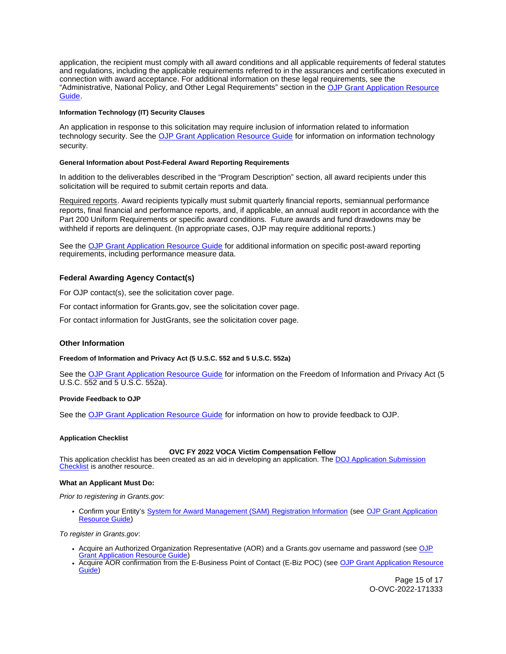<span id="page-14-0"></span>application, the recipient must comply with all award conditions and all applicable requirements of federal statutes and regulations, including the applicable requirements referred to in the assurances and certifications executed in connection with award acceptance. For additional information on these legal requirements, see the "Administrative, National Policy, and Other Legal Requirements" section in the [OJP Grant Application Resource](https://www.ojp.gov/funding/apply/ojp-grant-application-resource-guide#administrative)  [Guide.](https://www.ojp.gov/funding/apply/ojp-grant-application-resource-guide#administrative)

## **Information Technology (IT) Security Clauses**

An application in response to this solicitation may require inclusion of information related to information technology security. See the [OJP Grant Application Resource Guide](https://www.ojp.gov/funding/apply/ojp-grant-application-resource-guide#information-technology) for information on information technology security.

## **General Information about Post-Federal Award Reporting Requirements**

In addition to the deliverables described in the "Program Description" section, all award recipients under this solicitation will be required to submit certain reports and data.

Required reports. Award recipients typically must submit quarterly financial reports, semiannual performance reports, final financial and performance reports, and, if applicable, an annual audit report in accordance with the Part 200 Uniform Requirements or specific award conditions. Future awards and fund drawdowns may be withheld if reports are delinquent. (In appropriate cases, OJP may require additional reports.)

See the [OJP Grant Application Resource Guide](https://www.ojp.gov/funding/apply/ojp-grant-application-resource-guide#general-information) for additional information on specific post-award reporting requirements, including performance measure data.

# **Federal Awarding Agency Contact(s)**

For OJP contact(s), see the solicitation cover page.

For contact information for [Grants.gov](https://Grants.gov), see the solicitation cover page.

For contact information for JustGrants, see the solicitation cover page.

# **Other Information**

## **Freedom of Information and Privacy Act (5 U.S.C. 552 and 5 U.S.C. 552a)**

See the [OJP Grant Application Resource Guide](https://www.ojp.gov/funding/apply/ojp-grant-application-resource-guide#foia) for information on the Freedom of Information and Privacy Act (5 U.S.C. 552 and 5 U.S.C. 552a).

## **Provide Feedback to OJP**

See the [OJP Grant Application Resource Guide](https://www.ojp.gov/funding/apply/ojp-grant-application-resource-guide#feedback) for information on how to provide feedback to OJP.

## **Application Checklist**

## **OVC FY 2022 VOCA Victim Compensation Fellow**

This application checklist has been created as an aid in developing an application. The DOJ Application Submission [Checklist](https://justicegrants.usdoj.gov/sites/g/files/xyckuh296/files/media/document/appln-submission-checklist.pdf) is another resource.

## **What an Applicant Must Do:**

Prior to registering in [Grants.gov:](https://Grants.gov)

Confirm your Entity's [System for Award Management \(SAM\)](https://sam.gov/SAM/) Registration Information (see [OJP Grant Application](https://www.ojp.gov/funding/apply/ojp-grant-application-resource-guide#apply)  [Resource Guide\)](https://www.ojp.gov/funding/apply/ojp-grant-application-resource-guide#apply)

To register in [Grants.gov](https://Grants.gov):

- Acquire an Authorized Organization Representative (AOR) and a [Grants.gov](https://Grants.gov) username and password (see [OJP](https://ojp.gov/funding/Apply/Resources/Grant-App-Resource-Guide.htm)  [Grant Application Resource Guide\)](https://ojp.gov/funding/Apply/Resources/Grant-App-Resource-Guide.htm)
- Acquire AOR confirmation from the E-Business Point of Contact (E-Biz POC) (see [OJP Grant Application Resource](https://ojp.gov/funding/Apply/Resources/Grant-App-Resource-Guide.htm)  [Guide\)](https://ojp.gov/funding/Apply/Resources/Grant-App-Resource-Guide.htm)

Page 15 of 17 O-OVC-2022-171333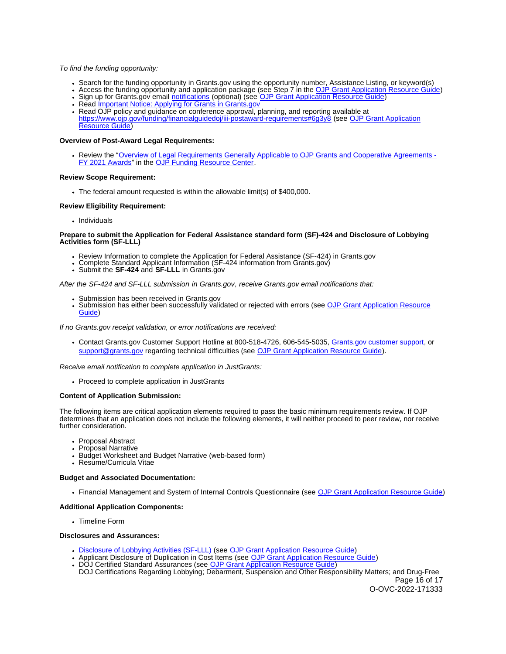#### To find the funding opportunity:

- Search for the funding opportunity in [Grants.gov](https://Grants.gov) using the opportunity number, Assistance Listing, or keyword(s)
- Access the funding opportunity and application package (see Step 7 in the [OJP Grant Application Resource Guide\)](https://ojp.gov/funding/Apply/Resources/Grant-App-Resource-Guide.htm)
- Sign up for [Grants.gov](https://Grants.gov) email [notifications](https://www.grants.gov/web/grants/manage-subscriptions.html) (optional) (see [OJP Grant Application Resource Guide\)](https://ojp.gov/funding/Apply/Resources/Grant-App-Resource-Guide.htm)
- Read [Important Notice: Applying for Grants in Grants.gov](https://ojp.gov/funding/Apply/Grants-govInfo.htm)
- Read OJP policy and guidance on conference approval, planning, and reporting available at <https://www.ojp.gov/funding/financialguidedoj/iii-postaward-requirements#6g3y8>(see [OJP Grant Application](https://ojp.gov/funding/Apply/Resources/Grant-App-Resource-Guide.htm)  [Resource Guide\)](https://ojp.gov/funding/Apply/Resources/Grant-App-Resource-Guide.htm)

#### **Overview of Post-Award Legal Requirements:**

Review the "[Overview of Legal Requirements Generally Applicable to OJP Grants and Cooperative Agreements -](https://www.ojp.gov/funding/explore/legal-overview-awards) [FY 2021 Awards"](https://www.ojp.gov/funding/explore/legal-overview-awards) in the [OJP Funding Resource Center.](https://www.ojp.gov/funding/index.htm)

#### **Review Scope Requirement:**

The federal amount requested is within the allowable limit(s) of \$400,000.

## **Review Eligibility Requirement:**

• Individuals

#### **Prepare to submit the Application for Federal Assistance standard form (SF)-424 and Disclosure of Lobbying Activities form (SF-LLL)**

- Review Information to complete the Application for Federal Assistance (SF-424) in Grants.gov<br>• Complete Standard Applicant Infor[mation \(SF-](https://Grants.gov)424 information from [Grants.gov\)](https://Grants.gov)<br>• Submit the SF-424 and SF-LLL in Grants.gov
- 
- 

#### After the SF-424 and SF-LLL submission in [Grants.gov](https://Grants.gov), receive [Grants.gov](https://Grants.gov) email notifications that:

- 
- Submission has been received in [Grants.gov](https://Grants.gov)<br>Submission has either been succ[essfully valid](https://Grants.gov)ated or rejected with errors (see OJP Grant Application Resource [Guide\)](https://ojp.gov/funding/Apply/Resources/Grant-App-Resource-Guide.htm)

If no [Grants.gov](https://Grants.gov) receipt validation, or error notifications are received:

Contact [Grants.gov](https://Grants.gov) Customer Support Hotline at 800-518-4726, 606-545-5035, [Grants.gov customer support,](https://www.grants.gov/web/grants/support.html) or [support@grants.gov](file:///C:/Users/halljo/AppData/Local/Microsoft/Windows/INetCache/Content.Outlook/7KE4GPMW/support@grants.gov) regarding technical difficulties (see [OJP Grant Application Resource Guide\)](https://ojp.gov/funding/Apply/Resources/Grant-App-Resource-Guide.htm).

Receive email notification to complete application in JustGrants:

• Proceed to complete application in JustGrants

## **Content of Application Submission:**

The following items are critical application elements required to pass the basic minimum requirements review. If OJP determines that an application does not include the following elements, it will neither proceed to peer review, nor receive further consideration.

- Proposal Abstract
- Proposal Narrative
- Budget Worksheet and Budget Narrative (web-based form)
- Resume/Curricula Vitae

#### **Budget and Associated Documentation:**

Financial Management and System of Internal Controls Questionnaire (see [OJP Grant Application Resource Guide\)](https://ojp.gov/funding/Apply/Resources/Grant-App-Resource-Guide.htm)

## **Additional Application Components:**

• Timeline Form

#### **Disclosures and Assurances:**

- [Disclosure of Lobbying Activities \(SF-LLL\)](https://ojp.gov/funding/Apply/Resources/Disclosure.pdf) (see [OJP Grant Application Resource Guide\)](https://ojp.gov/funding/Apply/Resources/Grant-App-Resource-Guide.htm)
- Applicant Disclosure of Duplication in Cost Items (see [OJP Grant Application Resource Guide\)](https://ojp.gov/funding/Apply/Resources/Grant-App-Resource-Guide.htm)
- DOJ Certified Standard Assurances (see [OJP Grant Application Resource Guide\)](https://ojp.gov/funding/Apply/Resources/Grant-App-Resource-Guide.htm) DOJ Certifications Regarding Lobbying; Debarment, Suspension and Other Responsibility Matters; and Drug-Free Page 16 of 17

O-OVC-2022-171333